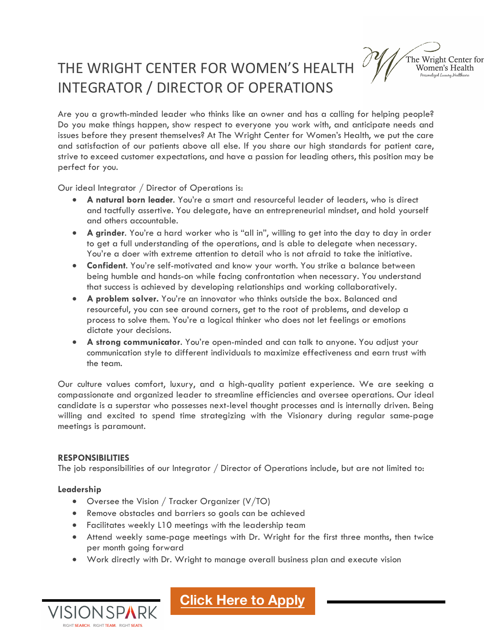# THE WRIGHT CENTER FOR WOMEN'S HEALTH INTEGRATOR / DIRECTOR OF OPERATIONS

The Wright Center for Women's Health Personalized Luxury Healthcar

Are you a growth-minded leader who thinks like an owner and has a calling for helping people? Do you make things happen, show respect to everyone you work with, and anticipate needs and issues before they present themselves? At The Wright Center for Women's Health, we put the care and satisfaction of our patients above all else. If you share our high standards for patient care, strive to exceed customer expectations, and have a passion for leading others, this position may be perfect for you.

Our ideal Integrator / Director of Operations is:

- **A natural born leader**. You're a smart and resourceful leader of leaders, who is direct and tactfully assertive. You delegate, have an entrepreneurial mindset, and hold yourself and others accountable.
- **A grinder**. You're a hard worker who is "all in", willing to get into the day to day in order to get a full understanding of the operations, and is able to delegate when necessary. You're a doer with extreme attention to detail who is not afraid to take the initiative.
- **Confident**. You're self-motivated and know your worth. You strike a balance between being humble and hands-on while facing confrontation when necessary. You understand that success is achieved by developing relationships and working collaboratively.
- **A problem solver.** You're an innovator who thinks outside the box. Balanced and resourceful, you can see around corners, get to the root of problems, and develop a process to solve them. You're a logical thinker who does not let feelings or emotions dictate your decisions.
- **A strong communicator**. You're open-minded and can talk to anyone. You adjust your communication style to different individuals to maximize effectiveness and earn trust with the team.

Our culture values comfort, luxury, and a high-quality patient experience. We are seeking a compassionate and organized leader to streamline efficiencies and oversee operations. Our ideal candidate is a superstar who possesses next-level thought processes and is internally driven. Being willing and excited to spend time strategizing with the Visionary during regular same-page meetings is paramount.

#### **RESPONSIBILITIES**

IGHT SEARCH. RIGHT TEAM. RIGHT SEATS

The job responsibilities of our Integrator / Director of Operations include, but are not limited to:

#### **Leadership**

- Oversee the Vision / Tracker Organizer (V/TO)
- Remove obstacles and barriers so goals can be achieved
- Facilitates weekly L10 meetings with the leadership team
- Attend weekly same-page meetings with Dr. Wright for the first three months, then twice per month going forward
- Work directly with Dr. Wright to manage overall business plan and execute vision

**Cl[ick Here to Apply](https://visionspark1.hiringthing.com/job/419655/integrator-director-of-operations)**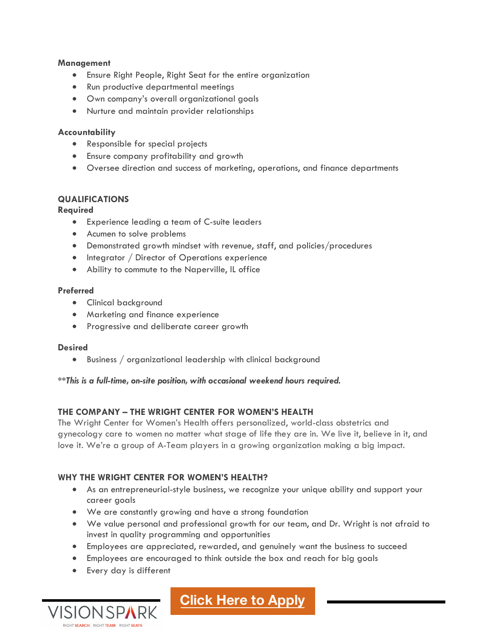#### **Management**

- Ensure Right People, Right Seat for the entire organization
- Run productive departmental meetings
- Own company's overall organizational goals
- Nurture and maintain provider relationships

#### **Accountability**

- Responsible for special projects
- Ensure company profitability and growth
- Oversee direction and success of marketing, operations, and finance departments

# **QUALIFICATIONS**

#### **Required**

- Experience leading a team of C-suite leaders
- Acumen to solve problems
- Demonstrated growth mindset with revenue, staff, and policies/procedures
- Integrator / Director of Operations experience
- Ability to commute to the Naperville, IL office

#### **Preferred**

- Clinical background
- Marketing and finance experience
- Progressive and deliberate career growth

#### **Desired**

• Business / organizational leadership with clinical background

*\*\*This is a full-time, on-site position, with occasional weekend hours required.*

# **THE COMPANY – THE WRIGHT CENTER FOR WOMEN'S HEALTH**

The Wright Center for Women's Health offers personalized, world-class obstetrics and gynecology care to women no matter what stage of life they are in. We live it, believe in it, and love it. We're a group of A-Team players in a growing organization making a big impact.

### **WHY THE WRIGHT CENTER FOR WOMEN'S HEALTH?**

- As an entrepreneurial-style business, we recognize your unique ability and support your career goals
- We are constantly growing and have a strong foundation
- We value personal and professional growth for our team, and Dr. Wright is not afraid to invest in quality programming and opportunities
- Employees are appreciated, rewarded, and genuinely want the business to succeed
- Employees are encouraged to think outside the box and reach for big goals
- Every day is different



**Cl[ick Here to Apply](https://visionspark1.hiringthing.com/job/419655/integrator-director-of-operations)**